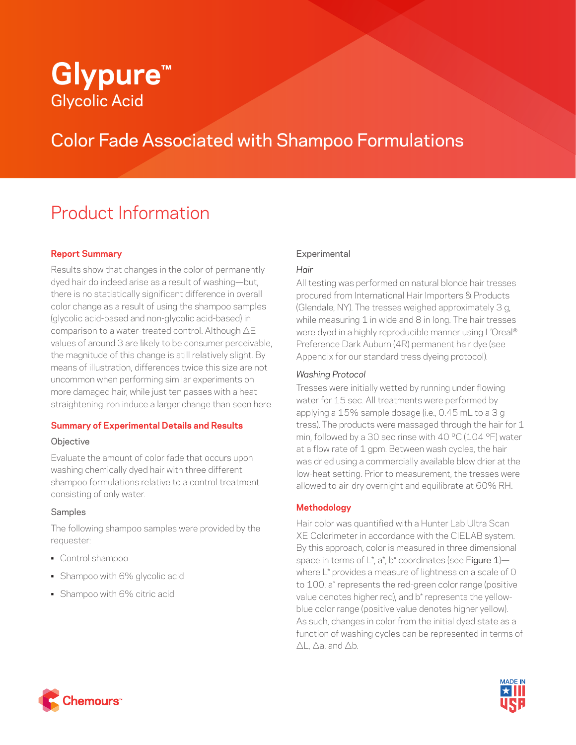# **Glypure™** Glycolic Acid

# Color Fade Associated with Shampoo Formulations

# Product Information

# **Report Summary**

Results show that changes in the color of permanently dyed hair do indeed arise as a result of washing—but, there is no statistically significant difference in overall color change as a result of using the shampoo samples (glycolic acid-based and non-glycolic acid-based) in comparison to a water-treated control. Although ΔE values of around 3 are likely to be consumer perceivable, the magnitude of this change is still relatively slight. By means of illustration, differences twice this size are not uncommon when performing similar experiments on more damaged hair, while just ten passes with a heat straightening iron induce a larger change than seen here.

#### **Summary of Experimental Details and Results**

#### **Objective**

Evaluate the amount of color fade that occurs upon washing chemically dyed hair with three different shampoo formulations relative to a control treatment consisting of only water.

#### Samples

The following shampoo samples were provided by the requester:

- Control shampoo
- Shampoo with 6% glycolic acid
- Shampoo with 6% citric acid

## **Experimental**

## *Hair*

All testing was performed on natural blonde hair tresses procured from International Hair Importers & Products (Glendale, NY). The tresses weighed approximately 3 g, while measuring 1 in wide and 8 in long. The hair tresses were dyed in a highly reproducible manner using L'Oreal® Preference Dark Auburn (4R) permanent hair dye (see Appendix for our standard tress dyeing protocol).

#### *Washing Protocol*

Tresses were initially wetted by running under flowing water for 15 sec. All treatments were performed by applying a 15% sample dosage (i.e., 0.45 mL to a 3 g tress). The products were massaged through the hair for 1 min, followed by a 30 sec rinse with 40 °C (104 °F) water at a flow rate of 1 gpm. Between wash cycles, the hair was dried using a commercially available blow drier at the low-heat setting. Prior to measurement, the tresses were allowed to air-dry overnight and equilibrate at 60% RH.

# **Methodology**

Hair color was quantified with a Hunter Lab Ultra Scan XE Colorimeter in accordance with the CIELAB system. By this approach, color is measured in three dimensional space in terms of  $L^*$ , a\*, b\* coordinates (see Figure  $1$ )where L\* provides a measure of lightness on a scale of 0 to 100, a\* represents the red-green color range (positive value denotes higher red), and b\* represents the yellowblue color range (positive value denotes higher yellow). As such, changes in color from the initial dyed state as a function of washing cycles can be represented in terms of ΔL, Δa, and Δb.



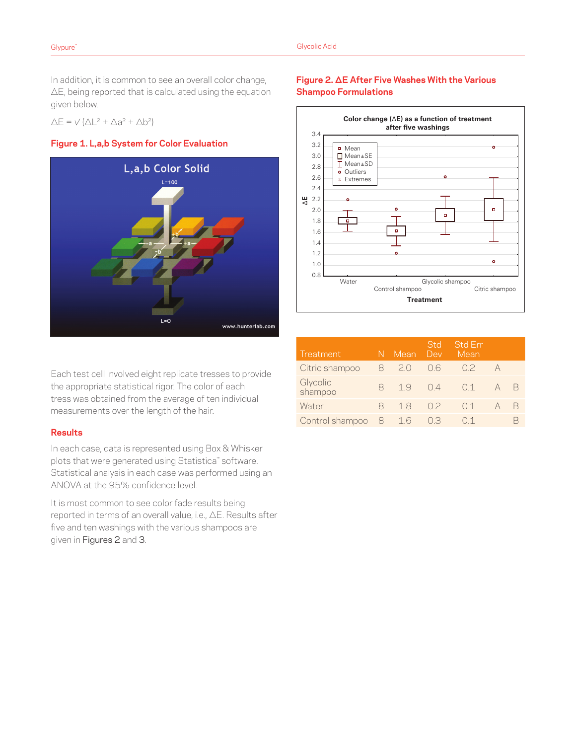In addition, it is common to see an overall color change, ΔE, being reported that is calculated using the equation given below.

 $\Delta E = \sqrt{(\Delta L^2 + \Delta a^2 + \Delta b^2)}$ 





Each test cell involved eight replicate tresses to provide the appropriate statistical rigor. The color of each tress was obtained from the average of ten individual measurements over the length of the hair.

#### **Results**

In each case, data is represented using Box & Whisker plots that were generated using Statistica™ software. Statistical analysis in each case was performed using an ANOVA at the 95% confidence level.

It is most common to see color fade results being reported in terms of an overall value, i.e., ΔE. Results after five and ten washings with the various shampoos are given in Figures 2 and 3.

## **Figure 2. ΔE After Five Washes With the Various Shampoo Formulations**



| Treatment           |   | Mean     | <b>Std</b><br>Dev  | <b>Std Err</b><br>Mean |   |
|---------------------|---|----------|--------------------|------------------------|---|
| Citric shampoo      | 8 | $\geq 0$ | 06                 | 02                     |   |
| Glycolic<br>shampoo | 8 | 19       | 04                 | $\bigcap$ 1            | В |
| Water               | x | 18       | 02                 | 01                     | В |
| Control shampoo 8   |   | 16       | $()$ $\rightarrow$ |                        |   |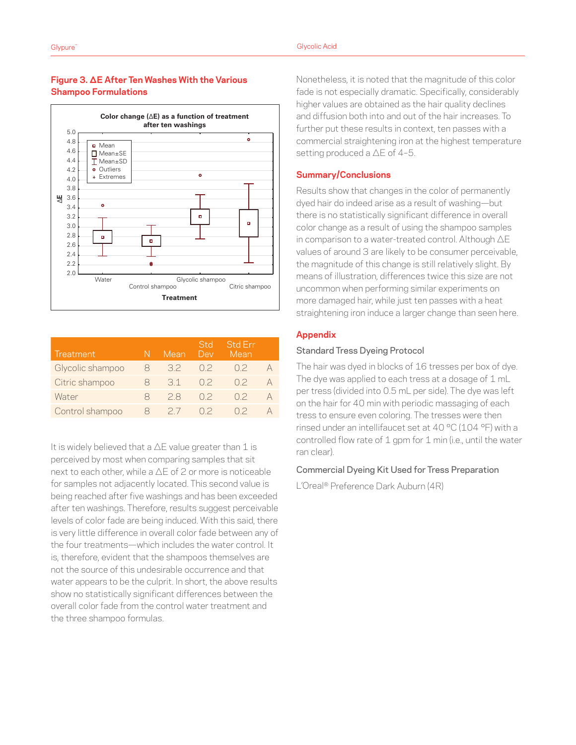#### **Figure 3. ΔE After Ten Washes With the Various Shampoo Formulations**

**Treatment** 



| Treatment        |   | Mean     | Std<br>Dev | <b>Std Err</b><br>Mean |  |
|------------------|---|----------|------------|------------------------|--|
| Glycolic shampoo | Χ | 32       | 02         | 02                     |  |
| Citric shampoo   | x | 31       | 02         | 02                     |  |
| Water            | Χ | 28       | 02         | 02                     |  |
| Control shampoo  |   | $\geq$ / | ハン         |                        |  |

It is widely believed that a  $\Delta E$  value greater than 1 is perceived by most when comparing samples that sit next to each other, while a ΔE of 2 or more is noticeable for samples not adjacently located. This second value is being reached after five washings and has been exceeded after ten washings. Therefore, results suggest perceivable levels of color fade are being induced. With this said, there is very little difference in overall color fade between any of the four treatments—which includes the water control. It is, therefore, evident that the shampoos themselves are not the source of this undesirable occurrence and that water appears to be the culprit. In short, the above results show no statistically significant differences between the overall color fade from the control water treatment and the three shampoo formulas.

Nonetheless, it is noted that the magnitude of this color fade is not especially dramatic. Specifically, considerably higher values are obtained as the hair quality declines and diffusion both into and out of the hair increases. To further put these results in context, ten passes with a commercial straightening iron at the highest temperature setting produced a ΔE of 4–5.

#### **Summary/Conclusions**

Results show that changes in the color of permanently dyed hair do indeed arise as a result of washing—but there is no statistically significant difference in overall color change as a result of using the shampoo samples in comparison to a water-treated control. Although ΔE values of around 3 are likely to be consumer perceivable, the magnitude of this change is still relatively slight. By means of illustration, differences twice this size are not uncommon when performing similar experiments on more damaged hair, while just ten passes with a heat straightening iron induce a larger change than seen here.

#### **Appendix**

#### Standard Tress Dyeing Protocol

The hair was dyed in blocks of 16 tresses per box of dye. The dye was applied to each tress at a dosage of 1 mL per tress (divided into 0.5 mL per side). The dye was left on the hair for 40 min with periodic massaging of each tress to ensure even coloring. The tresses were then rinsed under an intellifaucet set at 40 °C (104 °F) with a controlled flow rate of 1 gpm for 1 min (i.e., until the water ran clear).

#### Commercial Dyeing Kit Used for Tress Preparation

L'Oreal® Preference Dark Auburn (4R)